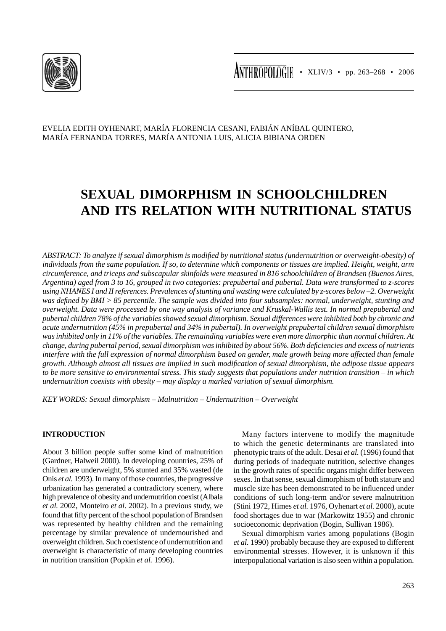

EVELIA EDITH OYHENART, MARÍA FLORENCIA CESANI, FABIÁN ANÍBAL QUINTERO, MARÍA FERNANDA TORRES, MARÍA ANTONIA LUIS, ALICIA BIBIANA ORDEN

# **SEXUAL DIMORPHISM IN SCHOOLCHILDREN AND ITS RELATION WITH NUTRITIONAL STATUS**

*ABSTRACT: To analyze if sexual dimorphism is modified by nutritional status (undernutrition or overweight-obesity) of individuals from the same population. If so, to determine which components or tissues are implied. Height, weight, arm circumference, and triceps and subscapular skinfolds were measured in 816 schoolchildren of Brandsen (Buenos Aires, Argentina) aged from 3 to 16, grouped in two categories: prepubertal and pubertal. Data were transformed to z-scores using NHANES I and II references. Prevalences of stunting and wasting were calculated by z-scores below –2. Overweight was defined by BMI > 85 percentile. The sample was divided into four subsamples: normal, underweight, stunting and overweight. Data were processed by one way analysis of variance and Kruskal-Wallis test. In normal prepubertal and pubertal children 78% of the variables showed sexual dimorphism. Sexual differences were inhibited both by chronic and acute undernutrition (45% in prepubertal and 34% in pubertal). In overweight prepubertal children sexual dimorphism was inhibited only in 11% of the variables. The remainding variables were even more dimorphic than normal children. At change, during pubertal period, sexual dimorphism was inhibited by about 56%. Both deficiencies and excess of nutrients interfere with the full expression of normal dimorphism based on gender, male growth being more affected than female*  growth. Although almost all tissues are implied in such modification of sexual dimorphism, the adipose tissue appears *to be more sensitive to environmental stress. This study suggests that populations under nutrition transition – in which undernutrition coexists with obesity – may display a marked variation of sexual dimorphism.*

*KEY WORDS: Sexual dimorphism – Malnutrition – Undernutrition – Overweight*

## **INTRODUCTION**

About 3 billion people suffer some kind of malnutrition (Gardner, Halweil 2000). In developing countries, 25% of children are underweight, 5% stunted and 35% wasted (de Onis *et al.* 1993). In many of those countries, the progressive urbanization has generated a contradictory scenery, where high prevalence of obesity and undernutrition coexist (Albala *et al.* 2002, Monteiro *et al.* 2002). In a previous study, we found that fifty percent of the school population of Brandsen was represented by healthy children and the remaining percentage by similar prevalence of undernourished and overweight children. Such coexistence of undernutrition and overweight is characteristic of many developing countries in nutrition transition (Popkin *et al.* 1996).

Many factors intervene to modify the magnitude to which the genetic determinants are translated into phenotypic traits of the adult. Desai *et al.* (1996) found that during periods of inadequate nutrition, selective changes in the growth rates of specific organs might differ between sexes. In that sense, sexual dimorphism of both stature and muscle size has been demonstrated to be influenced under conditions of such long-term and/or severe malnutrition (Stini 1972, Himes *et al.* 1976, Oyhenart *et al.* 2000), acute food shortages due to war (Markowitz 1955) and chronic socioeconomic deprivation (Bogin, Sullivan 1986).

Sexual dimorphism varies among populations (Bogin *et al.* 1990) probably because they are exposed to different environmental stresses. However, it is unknown if this interpopulational variation is also seen within a population.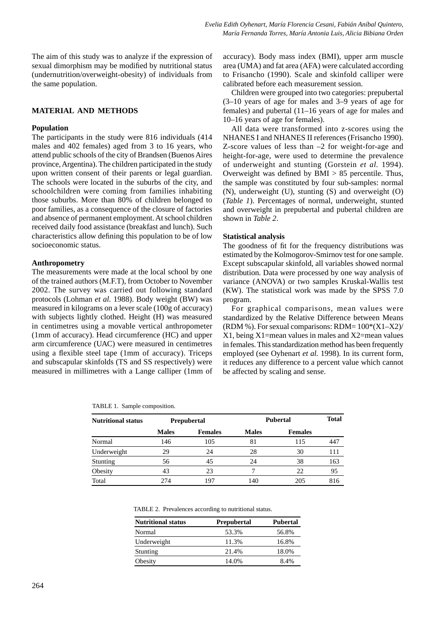The aim of this study was to analyze if the expression of sexual dimorphism may be modified by nutritional status (undernutrition/overweight-obesity) of individuals from the same population.

# **MATERIAL AND METHODS**

#### **Population**

The participants in the study were 816 individuals (414 males and 402 females) aged from 3 to 16 years, who attend public schools of the city of Brandsen (Buenos Aires province, Argentina). The children participated in the study upon written consent of their parents or legal guardian. The schools were located in the suburbs of the city, and schoolchildren were coming from families inhabiting those suburbs. More than 80% of children belonged to poor families, as a consequence of the closure of factories and absence of permanent employment. At school children received daily food assistance (breakfast and lunch). Such characteristics allow defining this population to be of low socioeconomic status.

#### **Anthropometry**

The measurements were made at the local school by one of the trained authors (M.F.T), from October to November 2002. The survey was carried out following standard protocols (Lohman *et al.* 1988). Body weight (BW) was measured in kilograms on a lever scale (100g of accuracy) with subjects lightly clothed. Height (H) was measured in centimetres using a movable vertical anthropometer (1mm of accuracy). Head circumference (HC) and upper arm circumference (UAC) were measured in centimetres using a flexible steel tape (1mm of accuracy). Triceps and subscapular skinfolds (TS and SS respectively) were measured in millimetres with a Lange calliper (1mm of accuracy). Body mass index (BMI), upper arm muscle area (UMA) and fat area (AFA) were calculated according to Frisancho (1990). Scale and skinfold calliper were calibrated before each measurement session.

Children were grouped into two categories: prepubertal (3–10 years of age for males and 3–9 years of age for females) and pubertal (11–16 years of age for males and 10–16 years of age for females).

All data were transformed into z-scores using the NHANES I and NHANES II references (Frisancho 1990). Z-score values of less than –2 for weight-for-age and height-for-age, were used to determine the prevalence of underweight and stunting (Gorstein *et al.* 1994). Overweight was defined by  $BMI > 85$  percentile. Thus, the sample was constituted by four sub-samples: normal (N), underweight (U), stunting (S) and overweight (O) (*Table 1*). Percentages of normal, underweight, stunted and overweight in prepubertal and pubertal children are shown in *Table 2*.

#### **Statistical analysis**

The goodness of fit for the frequency distributions was estimated by the Kolmogorov-Smirnov test for one sample. Except subscapular skinfold, all variables showed normal distribution. Data were processed by one way analysis of variance (ANOVA) or two samples Kruskal-Wallis test (KW). The statistical work was made by the SPSS 7.0 program.

For graphical comparisons, mean values were standardized by the Relative Difference between Means (RDM %). For sexual comparisons: RDM=  $100*(X1-X2)$ / X1, being X1=mean values in males and X2=mean values in females. This standardization method has been frequently employed (see Oyhenart *et al.* 1998). In its current form, it reduces any difference to a percent value which cannot be affected by scaling and sense.

TABLE 1. Sample composition.

| Nutritional status |              | Prepubertal    | <b>Pubertal</b> | <b>Total</b>   |     |
|--------------------|--------------|----------------|-----------------|----------------|-----|
|                    | <b>Males</b> | <b>Females</b> | <b>Males</b>    | <b>Females</b> |     |
| Normal             | 146          | 105            | 81              | 115            | 447 |
| Underweight        | 29           | 24             | 28              | 30             | 111 |
| Stunting           | 56           | 45             | 24              | 38             | 163 |
| Obesity            | 43           | 23             | ┑               | 22             | 95  |
| Total              | 274          | 197            | 140             | 205            | 816 |

TABLE 2. Prevalences according to nutritional status.

| <b>Nutritional status</b> | <b>Prepubertal</b> | Pubertal |
|---------------------------|--------------------|----------|
| Normal                    | 53.3%              | 56.8%    |
| Underweight               | 11.3%              | 16.8%    |
| Stunting                  | 21.4%              | 18.0%    |
| Obesity                   | 14.0%              | 8.4%     |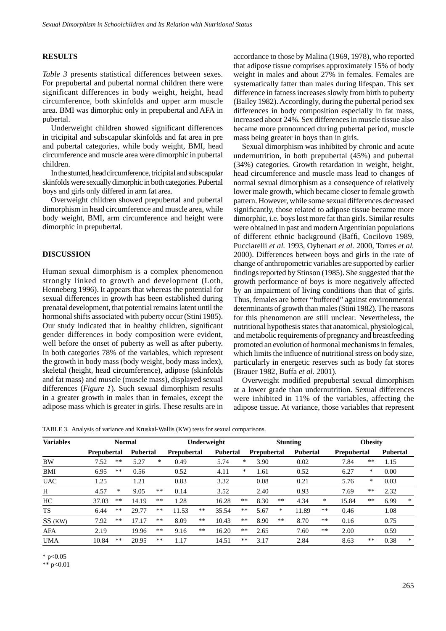### **RESULTS**

*Table 3* presents statistical differences between sexes. For prepubertal and pubertal normal children there were significant differences in body weight, height, head circumference, both skinfolds and upper arm muscle area. BMI was dimorphic only in prepubertal and AFA in pubertal.

Underweight children showed significant differences in tricipital and subscapular skinfolds and fat area in pre and pubertal categories, while body weight, BMI, head circumference and muscle area were dimorphic in pubertal children.

In the stunted, head circumference, tricipital and subscapular skinfolds were sexually dimorphic in both categories. Pubertal boys and girls only differed in arm fat area.

Overweight children showed prepubertal and pubertal dimorphism in head circumference and muscle area, while body weight, BMI, arm circumference and height were dimorphic in prepubertal.

#### **DISCUSSION**

Human sexual dimorphism is a complex phenomenon strongly linked to growth and development (Loth, Henneberg 1996). It appears that whereas the potential for sexual differences in growth has been established during prenatal development, that potential remains latent until the hormonal shifts associated with puberty occur (Stini 1985). Our study indicated that in healthy children, significant gender differences in body composition were evident, well before the onset of puberty as well as after puberty. In both categories 78% of the variables, which represent the growth in body mass (body weight, body mass index), skeletal (height, head circumference), adipose (skinfolds and fat mass) and muscle (muscle mass), displayed sexual differences (*Figure 1*). Such sexual dimorphism results in a greater growth in males than in females, except the adipose mass which is greater in girls. These results are in accordance to those by Malina (1969, 1978), who reported that adipose tissue comprises approximately 15% of body weight in males and about 27% in females. Females are systematically fatter than males during lifespan. This sex difference in fatness increases slowly from birth to puberty (Bailey 1982). Accordingly, during the pubertal period sex differences in body composition especially in fat mass, increased about 24%. Sex differences in muscle tissue also became more pronounced during pubertal period, muscle mass being greater in boys than in girls.

Sexual dimorphism was inhibited by chronic and acute undernutrition, in both prepubertal (45%) and pubertal (34%) categories. Growth retardation in weight, height, head circumference and muscle mass lead to changes of normal sexual dimorphism as a consequence of relatively lower male growth, which became closer to female growth pattern. However, while some sexual differences decreased significantly, those related to adipose tissue became more dimorphic, i.e. boys lost more fat than girls. Similar results were obtained in past and modern Argentinian populations of different ethnic background (Baffi, Cocilovo 1989, Pucciarelli *et al.* 1993, Oyhenart *et al.* 2000, Torres *et al.* 2000). Differences between boys and girls in the rate of change of anthropometric variables are supported by earlier findings reported by Stinson (1985). She suggested that the growth performance of boys is more negatively affected by an impairment of living conditions than that of girls. Thus, females are better "buffered" against environmental determinants of growth than males (Stini 1982). The reasons for this phenomenon are still unclear. Nevertheless, the nutritional hypothesis states that anatomical, physiological, and metabolic requirements of pregnancy and breastfeeding promoted an evolution of hormonal mechanisms in females, which limits the influence of nutritional stress on body size, particularly in energetic reserves such as body fat stores (Brauer 1982, Buffa *et al.* 2001).

Overweight modified prepubertal sexual dimorphism at a lower grade than undernutrition. Sexual differences were inhibited in 11% of the variables, affecting the adipose tissue. At variance, those variables that represent

TABLE 3. Analysis of variance and Kruskal-Wallis (KW) tests for sexual comparisons.

| <b>Variables</b> |                    | <b>Normal</b> |                 |       | Underweight        |    |                 |    | <b>Stunting</b>    |       |                 | <b>Obesity</b> |                    |      |                 |        |
|------------------|--------------------|---------------|-----------------|-------|--------------------|----|-----------------|----|--------------------|-------|-----------------|----------------|--------------------|------|-----------------|--------|
|                  | <b>Prepubertal</b> |               | <b>Pubertal</b> |       | <b>Prepubertal</b> |    | <b>Pubertal</b> |    | <b>Prepubertal</b> |       | <b>Pubertal</b> |                | <b>Prepubertal</b> |      | <b>Pubertal</b> |        |
| BW               | 7.52               | **            | 5.27            | *     | 0.49               |    | 5.74            | *  | 3.90               |       | 0.02            |                | 7.84               | **   | 1.15            |        |
| BMI              | 6.95               | **            | 0.56            |       | 0.52               |    | 4.11            | *  | 1.61               |       | 0.52            |                | 6.27               | *    | 0.00            |        |
| <b>UAC</b>       | 1.25               |               | 1.21            |       | 0.83               |    | 3.32            |    | 0.08               |       | 0.21            |                | 5.76               | *    | 0.03            |        |
| H                | 4.57               | $\ast$        | 9.05            | $**$  | 0.14               |    | 3.52            |    | 2.40               |       | 0.93            |                | 7.69               | $**$ | 2.32            |        |
| HC               | 37.03              | **            | 14.19           | $***$ | 1.28               |    | 16.28           | ** | 8.30               | **    | 4.34            | $\ast$         | 15.84              | **   | 6.99            | $\ast$ |
| <b>TS</b>        | 6.44               | **            | 29.77           | **    | 11.53              | ** | 35.54           | ** | 5.67               | *     | 11.89           | **             | 0.46               |      | 1.08            |        |
| SS (KW)          | 7.92               | **            | 17.17           | **    | 8.09               | ** | 10.43           | ** | 8.90               | $***$ | 8.70            | **             | 0.16               |      | 0.75            |        |
| AFA              | 2.19               |               | 19.96           | $***$ | 9.16               | ** | 16.20           | ** | 2.65               |       | 7.60            | **             | 2.00               |      | 0.59            |        |
| <b>UMA</b>       | 10.84              | **            | 20.95           | $***$ | 1.17               |    | 14.51           | ** | 3.17               |       | 2.84            |                | 8.63               | **   | 0.38            | $\ast$ |

 $*$  p<0.05

\*\* p<0.01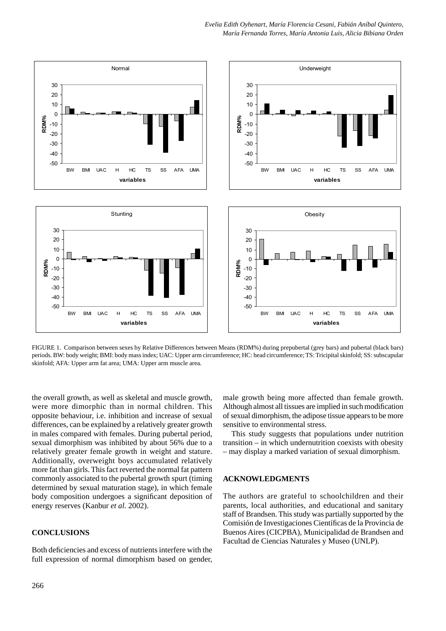

FIGURE 1. Comparison between sexes by Relative Differences between Means (RDM%) during prepubertal (grey bars) and pubertal (black bars) periods. BW: body weight; BMI: body mass index; UAC: Upper arm circumference; HC: head circumference; TS: Tricipital skinfold; SS: subscapular skinfold; AFA: Upper arm fat area; UMA: Upper arm muscle area.

the overall growth, as well as skeletal and muscle growth, were more dimorphic than in normal children. This opposite behaviour, i.e. inhibition and increase of sexual differences, can be explained by a relatively greater growth in males compared with females. During pubertal period, sexual dimorphism was inhibited by about 56% due to a relatively greater female growth in weight and stature. Additionally, overweight boys accumulated relatively more fat than girls. This fact reverted the normal fat pattern commonly associated to the pubertal growth spurt (timing determined by sexual maturation stage), in which female body composition undergoes a significant deposition of energy reserves (Kanbur *et al.* 2002).

# **CONCLUSIONS**

Both deficiencies and excess of nutrients interfere with the full expression of normal dimorphism based on gender, male growth being more affected than female growth. Although almost all tissues are implied in such modification of sexual dimorphism, the adipose tissue appears to be more sensitive to environmental stress.

This study suggests that populations under nutrition transition – in which undernutrition coexists with obesity – may display a marked variation of sexual dimorphism.

# **ACKNOWLEDGMENTS**

The authors are grateful to schoolchildren and their parents, local authorities, and educational and sanitary staff of Brandsen. This study was partially supported by the Comisión de Investigaciones Científicas de la Provincia de Buenos Aires (CICPBA), Municipalidad de Brandsen and Facultad de Ciencias Naturales y Museo (UNLP).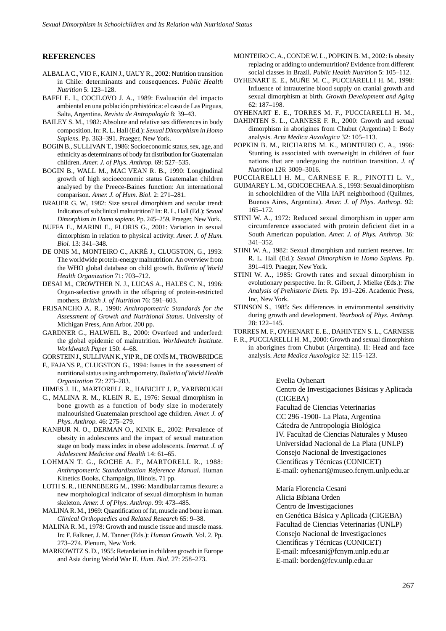## **REFERENCES**

- ALBALA C., VIO F., KAIN J., UAUY R., 2002: Nutrition transition in Chile: determinants and consequences. *Public Health Nutrition* 5: 123–128.
- BAFFI E. I., COCILOVO J. A., 1989: Evaluación del impacto ambiental en una población prehistórica: el caso de Las Pirguas, Salta, Argentina. *Revista de Antropología* 8: 39–43.
- BAILEY S. M., 1982: Absolute and relative sex differences in body composition. In: R. L. Hall (Ed.): *Sexual Dimorphism in Homo Sapiens.* Pp. 363–391. Praeger, New York.
- BOGIN B., SULLIVAN T., 1986: Socioeconomic status, sex, age, and ethnicity as determinants of body fat distribution for Guatemalan children. *Amer. J. of Phys. Anthrop.* 69: 527–535.
- BOGIN B., WALL M., MAC VEAN R. B., 1990: Longitudinal growth of high socioeconomic status Guatemalan children analysed by the Preece-Baines function: An international comparison. *Amer. J. of Hum. Biol.* 2: 271–281.
- BRAUER G. W., 1982: Size sexual dimorphism and secular trend: Indicators of subclinical malnutrition? In: R. L. Hall (Ed.): *Sexual Dimorphism in Homo sapiens.* Pp. 245–259. Praeger, New York.
- BUFFA E., MARINI E., FLORIS G., 2001: Variation in sexual dimorphism in relation to physical activity. *Amer. J. of Hum. Biol.* 13: 341–348.
- DE ONIS M., MONTEIRO C., AKRÉ J., CLUGSTON, G., 1993: The worldwide protein-energy malnutrition: An overview from the WHO global database on child growth. *Bulletin of World Health Organization* 71: 703–712.
- DESAI M., CROWTHER N. J., LUCAS A., HALES C. N., 1996: Organ-selective growth in the offspring of protein-restricted mothers. *British J. of Nutrition* 76: 591–603.
- FRISANCHO A. R., 1990: *Anthropometric Standards for the Assessment of Growth and Nutritional Status*. University of Michigan Press, Ann Arbor. 200 pp.
- GARDNER G., HALWEIL B., 2000: Overfeed and underfeed: the global epidemic of malnutrition*. Worldwatch Institute*. *Worldwatch Paper* 150: 4–68.

GORSTEIN J., SULLIVAN K., YIP R., DE ONÍS M., TROWBRIDGE

F., FAJANS P., CLUGSTON G., 1994: Issues in the assessment of nutritional status using anthropometry. *Bulletin of World Health Organization* 72: 273–283.

HIMES J. H., MARTORELL R., HABICHT J. P., YARBROUGH

- C., MALINA R. M., KLEIN R. E., 1976: Sexual dimorphism in bone growth as a function of body size in moderately malnourished Guatemalan preschool age children. *Amer. J. of Phys. Anthrop.* 46: 275–279.
- KANBUR N. O., DERMAN O., KINIK E., 2002: Prevalence of obesity in adolescents and the impact of sexual maturation stage on body mass index in obese adolescents. *Internat. J. of Adolescent Medicine and Health* 14: 61–65.
- LOHMAN T. G., ROCHE A. F., MARTORELL R., 1988: *Anthropometric Standardization Reference Manual.* Human Kinetics Books, Champaign, Illinois. 71 pp.
- LOTH S. R., HENNEBERG M., 1996: Mandibular ramus flexure: a new morphological indicator of sexual dimorphism in human skeleton. *Amer. J. of Phys. Anthrop.* 99: 473–485.
- MALINA R. M., 1969: Quantification of fat, muscle and bone in man. *Clinical Orthopaedics and Related Research* 65: 9–38.
- MALINA R. M., 1978: Growth and muscle tissue and muscle mass. In: F. Falkner, J. M. Tanner (Eds.): *Human Growth.* Vol. 2. Pp. 273–274. Plenum, New York.
- MARKOWITZ S. D., 1955: Retardation in children growth in Europe and Asia during World War II. *Hum. Biol.* 27: 258–273.
- MONTEIRO C. A., CONDE W. L., POPKIN B. M., 2002: Is obesity replacing or adding to undernutrition? Evidence from different social classes in Brazil. *Public Health Nutrition* 5: 105–112.
- OYHENART E. E., MUÑE M. C., PUCCIARELLI H. M., 1998: Influence of intrauterine blood supply on cranial growth and sexual dimorphism at birth. *Growth Development and Aging* 62: 187–198.

OYHENART E. E., TORRES M. F., PUCCIARELLI H. M.,

- DAHINTEN S. L., CARNESE F. R., 2000: Growth and sexual dimorphism in aborigines from Chubut (Argentina) I: Body analysis. *Acta Medica Auxologica* 32: 105–113.
- POPKIN B. M., RICHARDS M. K., MONTEIRO C. A., 1996: Stunting is associated with overweight in children of four nations that are undergoing the nutrition transition. *J. of Nutrition* 126: 3009–3016.

PUCCIARELLI H. M., CARNESE F. R., PINOTTI L. V.,

- GUIMAREY L. M., GOICOECHEA A. S., 1993: Sexual dimorphism in schoolchildren of the Villa IAPI neighborhood (Quilmes, Buenos Aires, Argentina). *Amer. J. of Phys. Anthrop.* 92: 165–172.
- STINI W. A., 1972: Reduced sexual dimorphism in upper arm circumference associated with protein deficient diet in a South American population. *Amer. J. of Phys. Anthrop.* 36: 341–352.
- STINI W. A., 1982: Sexual dimorphism and nutrient reserves. In: R. L. Hall (Ed.): *Sexual Dimorphism in Homo Sapiens*. Pp. 391–419. Praeger, New York.
- STINI W. A., 1985: Growth rates and sexual dimorphism in evolutionary perspective. In: R. Gilbert, J. Mielke (Eds.): *The Analysis of Prehistoric Diets*. Pp. 191–226. Academic Press, Inc, New York.
- STINSON S., 1985: Sex differences in environmental sensitivity during growth and development. *Yearbook of Phys. Anthrop.* 28: 122–145.

TORRES M. F., OYHENART E. E., DAHINTEN S. L., CARNESE

F. R., PUCCIARELLI H. M., 2000: Growth and sexual dimorphism in aborigines from Chubut (Argentina). II: Head and face analysis. *Acta Medica Auxologica* 32: 115–123.

Evelia Oyhenart

Centro de Investigaciones Básicas y Aplicada (CIGEBA)

Facultad de Ciencias Veterinarias

CC 296 -1900- La Plata, Argentina

Cátedra de Antropología Biológica

IV. Facultad de Ciencias Naturales y Museo

Universidad Nacional de La Plata (UNLP) Consejo Nacional de Investigaciones Científicas y Técnicas (CONICET)

E-mail: oyhenart@museo.fcnym.unlp.edu.ar

María Florencia Cesani Alicia Bibiana Orden

Centro de Investigaciones

en Genética Básica y Aplicada (CIGEBA)

Facultad de Ciencias Veterinarias (UNLP)

Consejo Nacional de Investigaciones Científicas y Técnicas (CONICET)

E-mail: mfcesani@fcnym.unlp.edu.ar

E-mail: borden@fcv.unlp.edu.ar